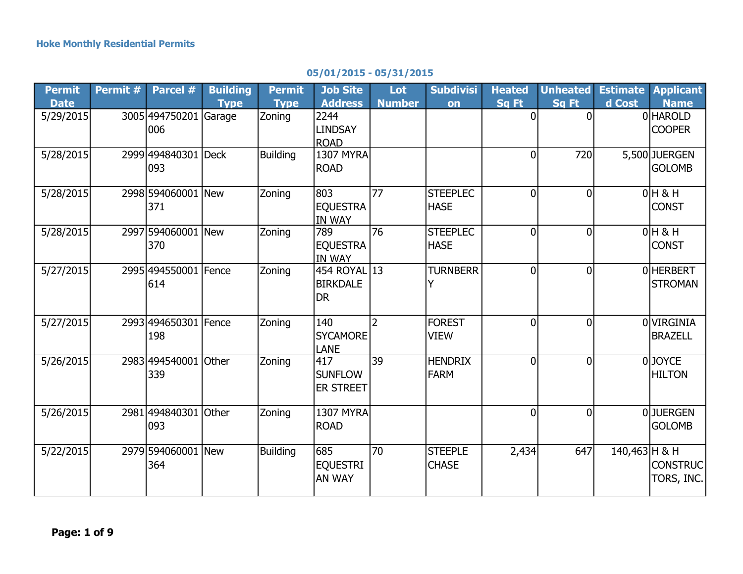| <b>Permit</b> | Permit # | Parcel #           | <b>Building</b> | <b>Permit</b>   | <b>Job Site</b>  | Lot            | <b>Subdivisi</b> | <b>Heated</b>  | <b>Unheated</b> | <b>Estimate</b> | <b>Applicant</b> |
|---------------|----------|--------------------|-----------------|-----------------|------------------|----------------|------------------|----------------|-----------------|-----------------|------------------|
| <b>Date</b>   |          |                    | <b>Type</b>     | <b>Type</b>     | <b>Address</b>   | <b>Number</b>  | on               | Sq Ft          | Sa Ft           | d Cost          | <b>Name</b>      |
| 5/29/2015     |          | 3005 494750201     | Garage          | Zoning          | 2244             |                |                  | $\Omega$       | $\Omega$        |                 | 0 HAROLD         |
|               |          | 006                |                 |                 | <b>LINDSAY</b>   |                |                  |                |                 |                 | <b>COOPER</b>    |
|               |          |                    |                 |                 | <b>ROAD</b>      |                |                  |                |                 |                 |                  |
| 5/28/2015     |          | 2999 494840301     | <b>Deck</b>     | <b>Building</b> | <b>1307 MYRA</b> |                |                  | 0              | 720             |                 | 5,500 JUERGEN    |
|               |          | 093                |                 |                 | <b>ROAD</b>      |                |                  |                |                 |                 | <b>GOLOMB</b>    |
| 5/28/2015     |          | 2998 594060001 New |                 | Zoning          | 803              | 77             | <b>STEEPLEC</b>  | $\overline{0}$ | $\Omega$        |                 | $0H$ & H         |
|               |          | 371                |                 |                 | <b>EQUESTRA</b>  |                | <b>HASE</b>      |                |                 |                 | <b>CONST</b>     |
|               |          |                    |                 |                 | <b>IN WAY</b>    |                |                  |                |                 |                 |                  |
| 5/28/2015     |          | 2997 594060001     | New             | Zoning          | 789              | 76             | <b>STEEPLEC</b>  | $\overline{0}$ | $\Omega$        |                 | $0H$ & H         |
|               |          | 370                |                 |                 | <b>EQUESTRA</b>  |                | <b>HASE</b>      |                |                 |                 | <b>CONST</b>     |
|               |          |                    |                 |                 | <b>IN WAY</b>    |                |                  |                |                 |                 |                  |
| 5/27/2015     |          | 2995 494550001     | <b>I</b> Fence  | Zoning          | 454 ROYAL 13     |                | <b>TURNBERR</b>  | 0              | $\Omega$        |                 | OHERBERT         |
|               |          | 614                |                 |                 | <b>BIRKDALE</b>  |                | Y                |                |                 |                 | <b>STROMAN</b>   |
|               |          |                    |                 |                 | <b>DR</b>        |                |                  |                |                 |                 |                  |
| 5/27/2015     |          | 2993 494650301     | Fence           | Zoning          | 140              | $\overline{2}$ | <b>FOREST</b>    | $\overline{0}$ | $\overline{0}$  |                 | OVIRGINIA        |
|               |          | 198                |                 |                 | <b>SYCAMORE</b>  |                | <b>VIEW</b>      |                |                 |                 | <b>BRAZELL</b>   |
|               |          |                    |                 |                 | <b>LANE</b>      |                |                  |                |                 |                 |                  |
| 5/26/2015     |          | 2983 494540001     | Other           | Zoning          | 417              | 39             | <b>HENDRIX</b>   | $\overline{0}$ | $\Omega$        |                 | 0JOYCE           |
|               |          | 339                |                 |                 | <b>SUNFLOW</b>   |                | <b>FARM</b>      |                |                 |                 | <b>HILTON</b>    |
|               |          |                    |                 |                 | ER STREET        |                |                  |                |                 |                 |                  |
|               |          |                    |                 |                 |                  |                |                  |                |                 |                 |                  |
| 5/26/2015     |          | 2981 494840301     | Other           | Zoning          | <b>1307 MYRA</b> |                |                  | $\overline{0}$ | $\Omega$        |                 | <b>OJJUERGEN</b> |
|               |          | 093                |                 |                 | <b>ROAD</b>      |                |                  |                |                 |                 | <b>GOLOMB</b>    |
|               |          |                    |                 |                 |                  |                |                  |                |                 |                 |                  |
| 5/22/2015     |          | 2979 594060001     | <b>New</b>      | <b>Building</b> | 685              | 70             | <b>STEEPLE</b>   | 2,434          | 647             | $140,463$ H & H |                  |
|               |          | 364                |                 |                 | <b>EQUESTRI</b>  |                | <b>CHASE</b>     |                |                 |                 | CONSTRUC         |
|               |          |                    |                 |                 | <b>AN WAY</b>    |                |                  |                |                 |                 | TORS, INC.       |

## **05/01/2015 - 05/31/2015**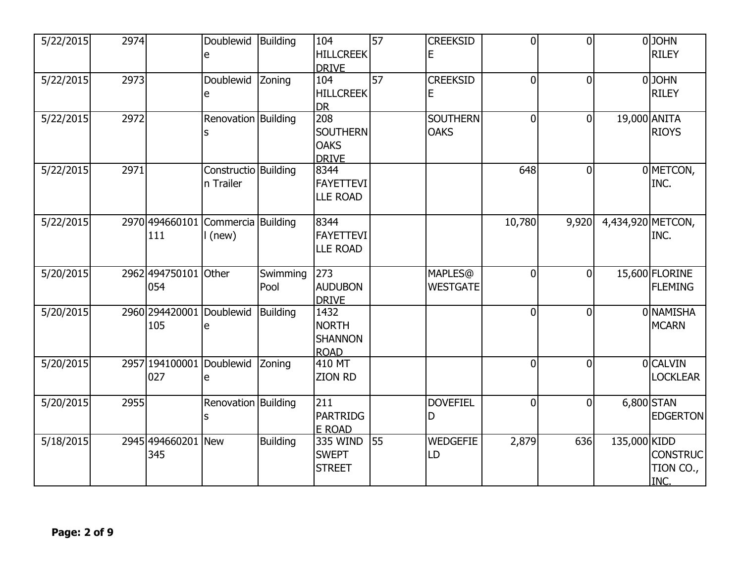| 5/22/2015 | 2974 |                  | Doublewid<br>e       | Building        | 104<br><b>HILLCREEK</b>       | 57              | <b>CREEKSID</b><br>E | $\overline{0}$ | $\overline{0}$ |                   | 0JOHN<br><b>RILEY</b> |
|-----------|------|------------------|----------------------|-----------------|-------------------------------|-----------------|----------------------|----------------|----------------|-------------------|-----------------------|
|           |      |                  |                      |                 | <b>DRIVE</b>                  |                 |                      |                |                |                   |                       |
| 5/22/2015 | 2973 |                  | Doublewid            | Zoning          | 104                           | $\overline{57}$ | <b>CREEKSID</b>      | $\overline{0}$ | $\overline{0}$ |                   | 0JOHN                 |
|           |      |                  | e                    |                 | <b>HILLCREEK</b>              |                 | E                    |                |                |                   | <b>RILEY</b>          |
|           |      |                  |                      |                 | <b>DR</b>                     |                 |                      |                |                |                   |                       |
| 5/22/2015 | 2972 |                  | Renovation Building  |                 | 208                           |                 | <b>SOUTHERN</b>      | $\overline{0}$ | $\overline{0}$ | 19,000 ANITA      |                       |
|           |      |                  | ls                   |                 | <b>SOUTHERN</b>               |                 | <b>OAKS</b>          |                |                |                   | <b>RIOYS</b>          |
|           |      |                  |                      |                 | <b>OAKS</b>                   |                 |                      |                |                |                   |                       |
| 5/22/2015 | 2971 |                  | Constructio Building |                 | <b>DRIVE</b><br>8344          |                 |                      | 648            | $\overline{0}$ |                   | 0 METCON,             |
|           |      |                  | n Trailer            |                 | <b>FAYETTEVI</b>              |                 |                      |                |                |                   | INC.                  |
|           |      |                  |                      |                 | <b>LLE ROAD</b>               |                 |                      |                |                |                   |                       |
|           |      |                  |                      |                 |                               |                 |                      |                |                |                   |                       |
| 5/22/2015 |      | 2970 494660101   | Commercia Building   |                 | 8344                          |                 |                      | 10,780         | 9,920          | 4,434,920 METCON, |                       |
|           |      | 111              | $l$ (new)            |                 | <b>FAYETTEVI</b>              |                 |                      |                |                |                   | INC.                  |
|           |      |                  |                      |                 | <b>LLE ROAD</b>               |                 |                      |                |                |                   |                       |
|           |      |                  |                      |                 |                               |                 |                      |                |                |                   |                       |
| 5/20/2015 |      | 2962494750101    | <b>Other</b>         | Swimming        | $\overline{273}$              |                 | <b>MAPLES</b> @      | $\overline{0}$ | $\overline{0}$ |                   | 15,600 FLORINE        |
|           |      | 054              |                      | Pool            | <b>AUDUBON</b>                |                 | <b>WESTGATE</b>      |                |                |                   | <b>FLEMING</b>        |
|           |      |                  |                      |                 | <b>DRIVE</b>                  |                 |                      |                |                |                   |                       |
| 5/20/2015 |      | 2960 2944 2000 1 | Doublewid            | Building        | 1432                          |                 |                      | $\overline{0}$ | $\overline{0}$ |                   | 0 NAMISHA             |
|           |      | 105              | e                    |                 | <b>NORTH</b>                  |                 |                      |                |                |                   | <b>MCARN</b>          |
|           |      |                  |                      |                 | <b>SHANNON</b><br><b>ROAD</b> |                 |                      |                |                |                   |                       |
| 5/20/2015 |      | 2957 194100001   | Doublewid            | Zoning          | 410 MT                        |                 |                      | $\overline{0}$ | $\overline{0}$ |                   | 0 CALVIN              |
|           |      | 027              | e                    |                 | <b>ZION RD</b>                |                 |                      |                |                |                   | <b>LOCKLEAR</b>       |
|           |      |                  |                      |                 |                               |                 |                      |                |                |                   |                       |
| 5/20/2015 | 2955 |                  | Renovation Building  |                 | 211                           |                 | <b>DOVEFIEL</b>      | $\overline{0}$ | $\overline{0}$ |                   | 6,800 STAN            |
|           |      |                  |                      |                 | <b>PARTRIDG</b>               |                 | D                    |                |                |                   | <b>EDGERTON</b>       |
|           |      |                  |                      |                 | E ROAD                        |                 |                      |                |                |                   |                       |
| 5/18/2015 |      | 2945 494660201   | New                  | <b>Building</b> | 335 WIND                      | 55              | <b>WEDGEFIE</b>      | 2,879          | 636            | 135,000 KIDD      |                       |
|           |      | 345              |                      |                 | <b>SWEPT</b>                  |                 | LD                   |                |                |                   | <b>CONSTRUC</b>       |
|           |      |                  |                      |                 | <b>STREET</b>                 |                 |                      |                |                |                   | TION CO.,             |
|           |      |                  |                      |                 |                               |                 |                      |                |                |                   | INC.                  |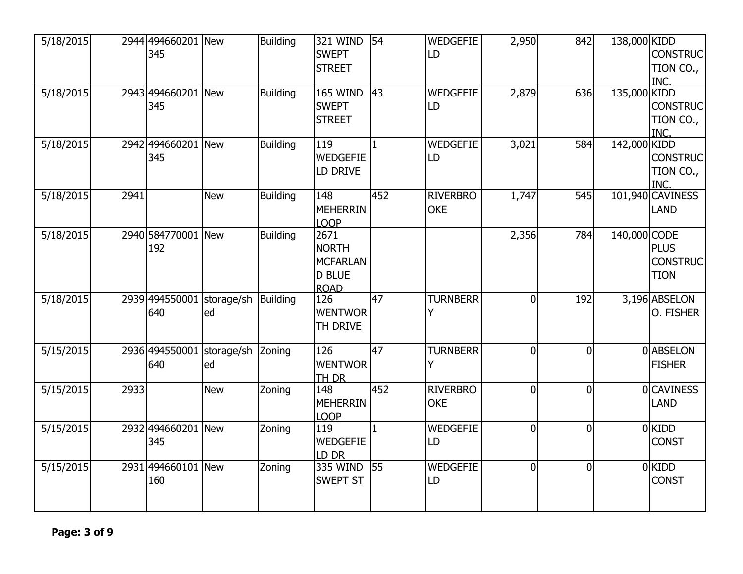| 5/18/2015 |      | 2944 494660201 New<br>345 |                           | <b>Building</b> | 321 WIND<br><b>SWEPT</b><br><b>STREET</b>                        | 54              | <b>WEDGEFIE</b><br>LD         | 2,950          | 842            | 138,000 KIDD | <b>CONSTRUC</b><br>TION CO.,<br>INC.          |
|-----------|------|---------------------------|---------------------------|-----------------|------------------------------------------------------------------|-----------------|-------------------------------|----------------|----------------|--------------|-----------------------------------------------|
| 5/18/2015 |      | 2943 494660201<br>345     | <b>New</b>                | <b>Building</b> | <b>165 WIND</b><br><b>SWEPT</b><br><b>STREET</b>                 | 43              | <b>WEDGEFIE</b><br>LD         | 2,879          | 636            | 135,000 KIDD | <b>CONSTRUC</b><br>TION CO.,<br>INC.          |
| 5/18/2015 |      | 2942 494660201 New<br>345 |                           | <b>Building</b> | 119<br><b>WEDGEFIE</b><br>LD DRIVE                               | $\mathbf{1}$    | <b>WEDGEFIE</b><br>LD         | 3,021          | 584            | 142,000 KIDD | <b>CONSTRUC</b><br>TION CO.,<br>INC.          |
| 5/18/2015 | 2941 |                           | <b>New</b>                | <b>Building</b> | 148<br><b>MEHERRIN</b><br><b>LOOP</b>                            | 452             | <b>RIVERBRO</b><br><b>OKE</b> | 1,747          | 545            |              | 101,940 CAVINESS<br><b>LAND</b>               |
| 5/18/2015 |      | 2940 584770001 New<br>192 |                           | <b>Building</b> | 2671<br><b>NORTH</b><br>MCFARLAN<br><b>D BLUE</b><br><b>ROAD</b> |                 |                               | 2,356          | 784            | 140,000 CODE | <b>PLUS</b><br><b>CONSTRUC</b><br><b>TION</b> |
| 5/18/2015 |      | 2939 494550001<br>640     | storage/sh Building<br>ed |                 | 126<br><b>WENTWOR</b><br>TH DRIVE                                | $\overline{47}$ | <b>TURNBERR</b><br>Y          | $\overline{0}$ | 192            |              | 3,196 ABSELON<br>O. FISHER                    |
| 5/15/2015 |      | 2936 494550001<br>640     | storage/sh Zoning<br>ed   |                 | 126<br><b>WENTWOR</b><br>TH DR                                   | 47              | <b>TURNBERR</b><br>Y          | $\overline{0}$ | $\overline{0}$ |              | 0 ABSELON<br><b>FISHER</b>                    |
| 5/15/2015 | 2933 |                           | <b>New</b>                | Zoning          | 148<br><b>MEHERRIN</b><br><b>LOOP</b>                            | 452             | <b>RIVERBRO</b><br><b>OKE</b> | $\overline{0}$ | $\overline{0}$ |              | 0 CAVINESS<br><b>LAND</b>                     |
| 5/15/2015 |      | 2932 494660201 New<br>345 |                           | Zoning          | 119<br><b>WEDGEFIE</b><br>LD DR                                  | $\mathbf{1}$    | <b>WEDGEFIE</b><br>LD         | $\overline{0}$ | $\overline{0}$ |              | 0 KIDD<br><b>CONST</b>                        |
| 5/15/2015 |      | 2931 494660101 New<br>160 |                           | Zoning          | 335 WIND<br><b>SWEPT ST</b>                                      | 55              | WEDGEFIE<br>LD                | $\overline{0}$ | $\overline{0}$ |              | $0$ KIDD<br><b>CONST</b>                      |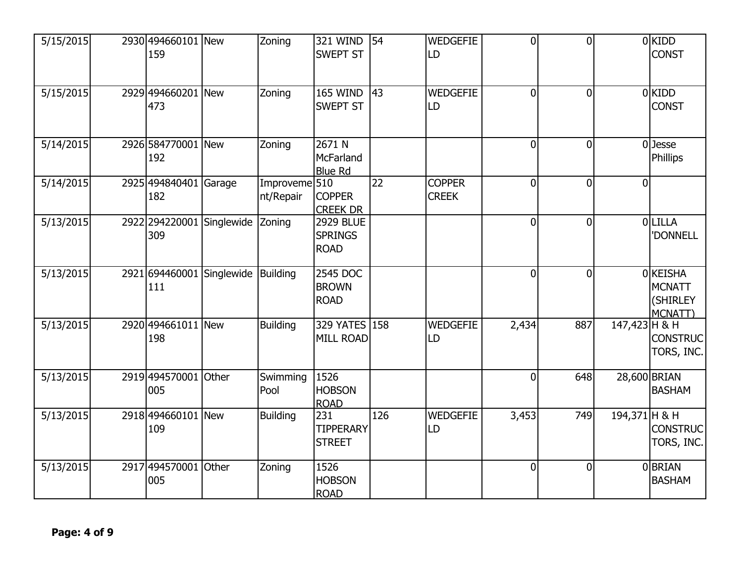| 5/15/2015 | 2930 494660101 New<br>159 |              | Zoning                                  | <b>321 WIND</b><br><b>SWEPT ST</b>                | 54              | <b>WEDGEFIE</b><br>LD         | $\overline{0}$ | $\overline{0}$ |                | 0 KIDD<br><b>CONST</b>                           |
|-----------|---------------------------|--------------|-----------------------------------------|---------------------------------------------------|-----------------|-------------------------------|----------------|----------------|----------------|--------------------------------------------------|
| 5/15/2015 | 2929 494660201 New<br>473 |              | Zoning                                  | <b>165 WIND</b><br><b>SWEPT ST</b>                | 43              | <b>WEDGEFIE</b><br>LD         | $\overline{0}$ | $\overline{0}$ |                | $0$ KIDD<br><b>CONST</b>                         |
| 5/14/2015 | 2926 584770001 New<br>192 |              | Zoning                                  | 2671 N<br>McFarland<br><b>Blue Rd</b>             |                 |                               | $\overline{0}$ | $\overline{0}$ |                | $0$ Jesse<br>Phillips                            |
| 5/14/2015 | 2925 494840401<br>182     | Garage       | Improveme $5\overline{10}$<br>nt/Repair | <b>COPPER</b><br><b>CREEK DR</b>                  | $\overline{22}$ | <b>COPPER</b><br><b>CREEK</b> | $\overline{0}$ | $\overline{0}$ | $\overline{0}$ |                                                  |
| 5/13/2015 | 2922 294220001<br>309     | Singlewide   | Zoning                                  | <b>2929 BLUE</b><br><b>SPRINGS</b><br><b>ROAD</b> |                 |                               | $\overline{0}$ | $\overline{0}$ |                | 0LILLA<br>'DONNELL                               |
| 5/13/2015 | 2921 694460001<br>111     | Singlewide   | <b>Building</b>                         | 2545 DOC<br><b>BROWN</b><br><b>ROAD</b>           |                 |                               | $\overline{0}$ | $\overline{0}$ |                | 0 KEISHA<br><b>MCNATT</b><br>(SHIRLEY<br>MCNATT) |
| 5/13/2015 | 2920 494661011 New<br>198 |              | <b>Building</b>                         | 329 YATES 158<br><b>MILL ROAD</b>                 |                 | <b>WEDGEFIE</b><br>LD         | 2,434          | 887            | 147,423 H & H  | <b>CONSTRUC</b><br>TORS, INC.                    |
| 5/13/2015 | 2919 494570001<br>005     | <b>Other</b> | Swimming<br>Pool                        | 1526<br><b>HOBSON</b><br><b>ROAD</b>              |                 |                               | $\overline{0}$ | 648            |                | 28,600 BRIAN<br><b>BASHAM</b>                    |
| 5/13/2015 | 2918 494660101<br>109     | <b>New</b>   | <b>Building</b>                         | 231<br><b>TIPPERARY</b><br><b>STREET</b>          | 126             | <b>WEDGEFIE</b><br>LD         | 3,453          | 749            | 194,371 H & H  | <b>CONSTRUC</b><br>TORS, INC.                    |
| 5/13/2015 | 2917 494570001<br>005     | <b>Other</b> | Zoning                                  | 1526<br><b>HOBSON</b><br><b>ROAD</b>              |                 |                               | $\overline{0}$ | $\overline{0}$ |                | 0 BRIAN<br><b>BASHAM</b>                         |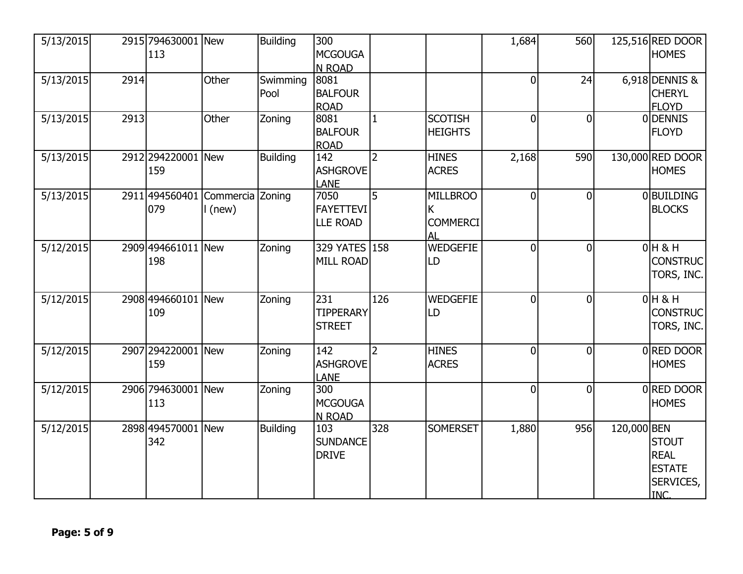| 5/13/2015 |      | 2915 794630001 New<br>113  |                             | <b>Building</b>  | 300<br><b>MCGOUGA</b><br>N ROAD             |                |                                               | 1,684          | 560            |             | 125,516 RED DOOR<br><b>HOMES</b>                                        |
|-----------|------|----------------------------|-----------------------------|------------------|---------------------------------------------|----------------|-----------------------------------------------|----------------|----------------|-------------|-------------------------------------------------------------------------|
| 5/13/2015 | 2914 |                            | Other                       | Swimming<br>Pool | 8081<br><b>BALFOUR</b><br><b>ROAD</b>       |                |                                               | $\overline{0}$ | 24             |             | 6,918 DENNIS &<br><b>CHERYL</b><br><b>FLOYD</b>                         |
| 5/13/2015 | 2913 |                            | Other                       | Zoning           | 8081<br><b>BALFOUR</b><br><b>ROAD</b>       |                | <b>SCOTISH</b><br><b>HEIGHTS</b>              | $\overline{0}$ | $\overline{0}$ |             | 0 DENNIS<br><b>FLOYD</b>                                                |
| 5/13/2015 |      | 2912 294220001 New<br>159  |                             | <b>Building</b>  | 142<br><b>ASHGROVE</b><br><b>LANE</b>       | $\overline{2}$ | <b>HINES</b><br><b>ACRES</b>                  | 2,168          | 590            |             | 130,000 RED DOOR<br><b>HOMES</b>                                        |
| 5/13/2015 |      | 2911 494560401<br>079      | Commercia Zoning<br>I (new) |                  | 7050<br><b>FAYETTEVI</b><br><b>LLE ROAD</b> | 5              | <b>MILLBROO</b><br>K<br><b>COMMERCI</b><br>AL | $\Omega$       | $\mathbf 0$    |             | 0 BUILDING<br><b>BLOCKS</b>                                             |
| 5/12/2015 |      | 2909 494661011 New<br>198  |                             | Zoning           | 329 YATES 158<br><b>MILL ROAD</b>           |                | <b>WEDGEFIE</b><br>LD                         | $\overline{0}$ | 0              |             | $0H$ & H<br><b>CONSTRUC</b><br>TORS, INC.                               |
| 5/12/2015 |      | 2908 494660101 New<br>109  |                             | Zoning           | 231<br><b>TIPPERARY</b><br><b>STREET</b>    | 126            | <b>WEDGEFIE</b><br>LD                         | $\overline{0}$ | $\overline{0}$ |             | $0H$ & H<br><b>CONSTRUC</b><br>TORS, INC.                               |
| 5/12/2015 |      | 2907 2942 20001 New<br>159 |                             | Zoning           | 142<br><b>ASHGROVE</b><br><b>LANE</b>       | $\overline{2}$ | <b>HINES</b><br><b>ACRES</b>                  | $\overline{0}$ | $\overline{0}$ |             | 0RED DOOR<br><b>HOMES</b>                                               |
| 5/12/2015 |      | 2906 794630001 New<br>113  |                             | Zoning           | 300<br><b>MCGOUGA</b><br>N ROAD             |                |                                               | $\overline{0}$ | $\overline{0}$ |             | 0RED DOOR<br><b>HOMES</b>                                               |
| 5/12/2015 |      | 2898 494570001 New<br>342  |                             | <b>Building</b>  | 103<br><b>SUNDANCE</b><br><b>DRIVE</b>      | 328            | <b>SOMERSET</b>                               | 1,880          | 956            | 120,000 BEN | <b>STOUT</b><br><b>REAL</b><br><b>ESTATE</b><br>SERVICES,<br><b>INC</b> |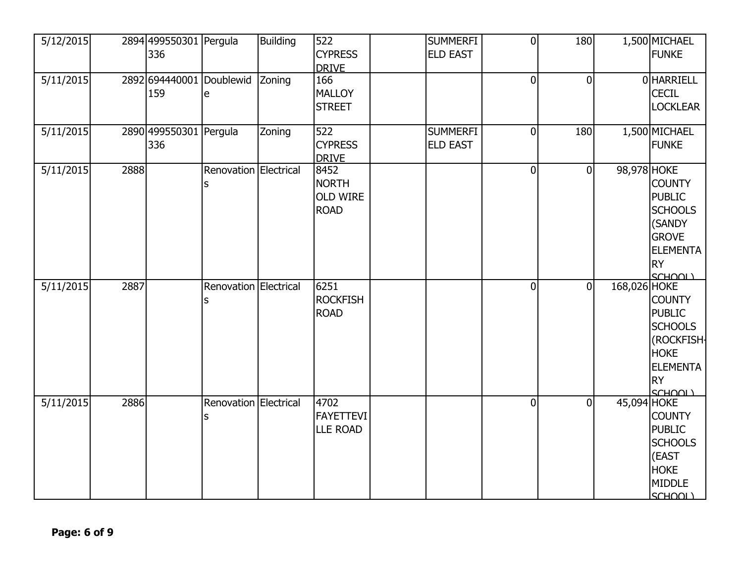| 5/12/2015 |      | 2894 499550301 Pergula<br>336 |                                      | <b>Building</b> | 522<br><b>CYPRESS</b><br><b>DRIVE</b>                  | <b>SUMMERFI</b><br><b>ELD EAST</b> | $\mathbf 0$    | 180            |              | 1,500 MICHAEL<br><b>FUNKE</b>                                                                                            |
|-----------|------|-------------------------------|--------------------------------------|-----------------|--------------------------------------------------------|------------------------------------|----------------|----------------|--------------|--------------------------------------------------------------------------------------------------------------------------|
| 5/11/2015 |      | 159                           | 2892 694440001 Doublewid Zoning<br>e |                 | 166<br><b>MALLOY</b><br><b>STREET</b>                  |                                    | $\mathbf 0$    | $\overline{0}$ |              | 0 HARRIELL<br><b>CECIL</b><br><b>LOCKLEAR</b>                                                                            |
| 5/11/2015 |      | 2890 499550301 Pergula<br>336 |                                      | Zoning          | 522<br><b>CYPRESS</b><br><b>DRIVE</b>                  | <b>SUMMERFI</b><br><b>ELD EAST</b> | $\overline{0}$ | 180            |              | 1,500 MICHAEL<br><b>FUNKE</b>                                                                                            |
| 5/11/2015 | 2888 |                               | Renovation Electrical<br>s           |                 | 8452<br><b>NORTH</b><br><b>OLD WIRE</b><br><b>ROAD</b> |                                    | $\mathbf 0$    | $\overline{0}$ | 98,978 HOKE  | <b>COUNTY</b><br><b>PUBLIC</b><br><b>SCHOOLS</b><br>(SANDY<br><b>GROVE</b><br><b>ELEMENTA</b><br><b>RY</b><br>SCHOOL)    |
| 5/11/2015 | 2887 |                               | Renovation Electrical<br>S           |                 | 6251<br><b>ROCKFISH</b><br><b>ROAD</b>                 |                                    | $\overline{0}$ | $\overline{0}$ | 168,026 HOKE | <b>COUNTY</b><br><b>PUBLIC</b><br><b>SCHOOLS</b><br>(ROCKFISH-<br><b>HOKE</b><br><b>ELEMENTA</b><br><b>RY</b><br>SCHOOL) |
| 5/11/2015 | 2886 |                               | Renovation Electrical<br>s           |                 | 4702<br><b>FAYETTEVI</b><br><b>LLE ROAD</b>            |                                    | $\overline{0}$ | $\overline{0}$ | 45,094 HOKE  | <b>COUNTY</b><br><b>PUBLIC</b><br><b>SCHOOLS</b><br>(EAST<br><b>HOKE</b><br><b>MIDDLE</b><br>SCHOOL)                     |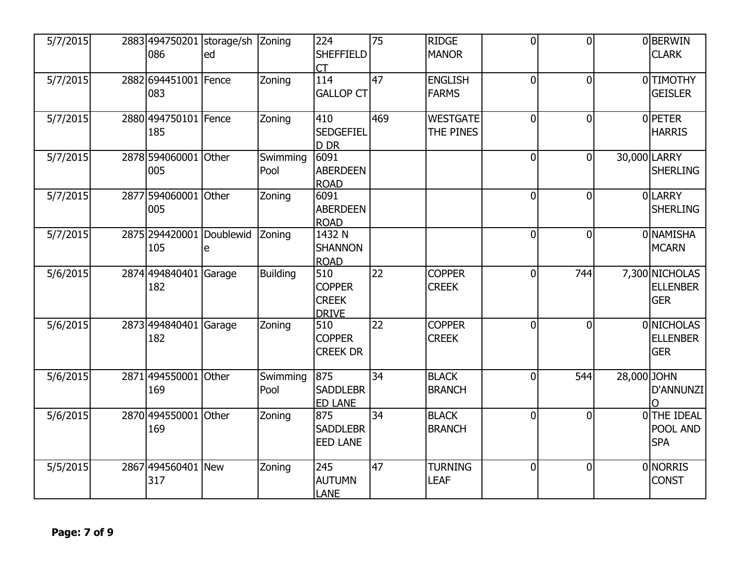| 5/7/2015 | 2883 494750201<br>086       | storage/sh Zoning<br>ed |                  | 224<br><b>SHEFFIELD</b><br>CT                        | $\overline{75}$ | <b>RIDGE</b><br><b>MANOR</b>   | $\overline{0}$ | $\overline{0}$ |             | 0BERWIN<br><b>CLARK</b>                         |
|----------|-----------------------------|-------------------------|------------------|------------------------------------------------------|-----------------|--------------------------------|----------------|----------------|-------------|-------------------------------------------------|
| 5/7/2015 | 2882 694451001 Fence<br>083 |                         | Zoning           | 114<br><b>GALLOP CT</b>                              | 47              | <b>ENGLISH</b><br><b>FARMS</b> | $\overline{0}$ | $\overline{0}$ |             | 0 TIMOTHY<br><b>GEISLER</b>                     |
| 5/7/2015 | 2880 494750101 Fence<br>185 |                         | Zoning           | 410<br><b>SEDGEFIEL</b><br>D DR                      | 469             | <b>WESTGATE</b><br>THE PINES   | $\overline{0}$ | $\overline{0}$ |             | 0PETER<br><b>HARRIS</b>                         |
| 5/7/2015 | 2878 594060001 Other<br>005 |                         | Swimming<br>Pool | 6091<br><b>ABERDEEN</b><br><b>ROAD</b>               |                 |                                | $\overline{0}$ | $\overline{0}$ |             | 30,000 LARRY<br><b>SHERLING</b>                 |
| 5/7/2015 | 2877 594060001<br>005       | lOther                  | Zoning           | 6091<br><b>ABERDEEN</b><br><b>ROAD</b>               |                 |                                | $\overline{0}$ | $\overline{0}$ |             | 0LARRY<br><b>SHERLING</b>                       |
| 5/7/2015 | 2875 2944 20001<br>105      | Doublewid<br>e          | Zoning           | 1432 N<br><b>SHANNON</b><br><b>ROAD</b>              |                 |                                | $\overline{0}$ | $\overline{0}$ |             | <b>ONAMISHA</b><br><b>MCARN</b>                 |
| 5/6/2015 | 2874 494840401<br>182       | Garage                  | <b>Building</b>  | 510<br><b>COPPER</b><br><b>CREEK</b><br><b>DRIVE</b> | 22              | <b>COPPER</b><br><b>CREEK</b>  | 0l             | 744            |             | 7,300 NICHOLAS<br><b>ELLENBER</b><br><b>GER</b> |
| 5/6/2015 | 2873 494840401<br>182       | Garage                  | Zoning           | 510<br><b>COPPER</b><br><b>CREEK DR</b>              | 22              | <b>COPPER</b><br><b>CREEK</b>  | $\overline{0}$ | $\overline{0}$ |             | 0 NICHOLAS<br><b>ELLENBER</b><br><b>GER</b>     |
| 5/6/2015 | 2871 494550001<br>169       | <b>Other</b>            | Swimming<br>Pool | 875<br><b>SADDLEBR</b><br><b>ED LANE</b>             | $\overline{34}$ | <b>BLACK</b><br><b>BRANCH</b>  | $\overline{0}$ | 544            | 28,000 JOHN | D'ANNUNZI                                       |
| 5/6/2015 | 2870 494550001<br>169       | <b>Other</b>            | Zoning           | 875<br><b>SADDLEBR</b><br><b>EED LANE</b>            | 34              | <b>BLACK</b><br><b>BRANCH</b>  | $\overline{0}$ | $\mathbf 0$    |             | 0THE IDEAL<br>POOL AND<br><b>SPA</b>            |
| 5/5/2015 | 2867 494560401 New<br>317   |                         | Zoning           | 245<br><b>AUTUMN</b><br><b>LANE</b>                  | 47              | <b>TURNING</b><br><b>LEAF</b>  | $\overline{0}$ | $\overline{0}$ |             | 0 NORRIS<br><b>CONST</b>                        |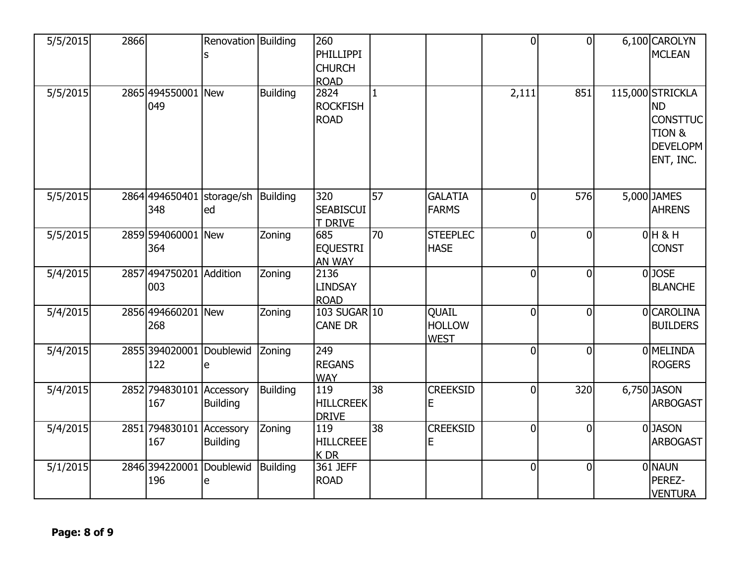| 5/5/2015 | 2866 |                                  | Renovation Building          |                 | 260<br>PHILLIPPI<br><b>CHURCH</b><br><b>ROAD</b> |                 |                                       | $\overline{0}$ | $\overline{0}$ | 6,100 CAROLYN<br><b>MCLEAN</b>                                                                        |
|----------|------|----------------------------------|------------------------------|-----------------|--------------------------------------------------|-----------------|---------------------------------------|----------------|----------------|-------------------------------------------------------------------------------------------------------|
| 5/5/2015 |      | 2865 494550001 New<br>049        |                              | <b>Building</b> | 2824<br><b>ROCKFISH</b><br><b>ROAD</b>           | $\mathbf{1}$    |                                       | 2,111          | 851            | 115,000 STRICKLA<br><b>ND</b><br><b>CONSTTUC</b><br><b>TION &amp;</b><br><b>DEVELOPM</b><br>ENT, INC. |
| 5/5/2015 |      | 2864 494650401<br>348            | storage/sh<br>led            | Building        | 320<br><b>SEABISCUI</b><br>T DRIVE               | $\overline{57}$ | <b>GALATIA</b><br><b>FARMS</b>        | $\overline{0}$ | 576            | 5,000 JAMES<br><b>AHRENS</b>                                                                          |
| 5/5/2015 |      | 2859 594060001<br>364            | New                          | Zoning          | 685<br><b>EQUESTRI</b><br>AN WAY                 | 70              | <b>STEEPLEC</b><br><b>HASE</b>        | $\overline{0}$ | $\overline{0}$ | $0H$ & H<br><b>CONST</b>                                                                              |
| 5/4/2015 |      | 2857 494750201 Addition<br>003   |                              | Zoning          | 2136<br><b>LINDSAY</b><br><b>ROAD</b>            |                 |                                       | $\overline{0}$ | $\overline{0}$ | $0$ JOSE<br><b>BLANCHE</b>                                                                            |
| 5/4/2015 |      | 2856 494660201 New<br>268        |                              | Zoning          | 103 SUGAR 10<br><b>CANE DR</b>                   |                 | QUAIL<br><b>HOLLOW</b><br><b>WEST</b> | $\overline{0}$ | $\overline{0}$ | 0CAROLINA<br><b>BUILDERS</b>                                                                          |
| 5/4/2015 |      | 2855 3940 20001 Doublewid<br>122 | e                            | Zoning          | 249<br><b>REGANS</b><br><b>WAY</b>               |                 |                                       | $\overline{0}$ | $\overline{0}$ | 0 MELINDA<br><b>ROGERS</b>                                                                            |
| 5/4/2015 |      | 2852 794830101<br>167            | Accessory<br><b>Building</b> | <b>Building</b> | 119<br><b>HILLCREEK</b><br><b>DRIVE</b>          | 38              | <b>CREEKSID</b><br>Е                  | $\overline{0}$ | 320            | 6,750 JASON<br><b>ARBOGAST</b>                                                                        |
| 5/4/2015 |      | 2851 794830101<br>167            | Accessory<br><b>Building</b> | Zoning          | 119<br><b>HILLCREEE</b><br>K DR                  | 38              | <b>CREEKSID</b><br>E                  | $\overline{0}$ | $\overline{0}$ | 0JASON<br><b>ARBOGAST</b>                                                                             |
| 5/1/2015 |      | 2846 394220001<br>196            | Doublewid<br>e               | Building        | $361$ JEFF<br><b>ROAD</b>                        |                 |                                       | $\overline{0}$ | $\overline{0}$ | 0 NAUN<br>PEREZ-<br><b>VENTURA</b>                                                                    |